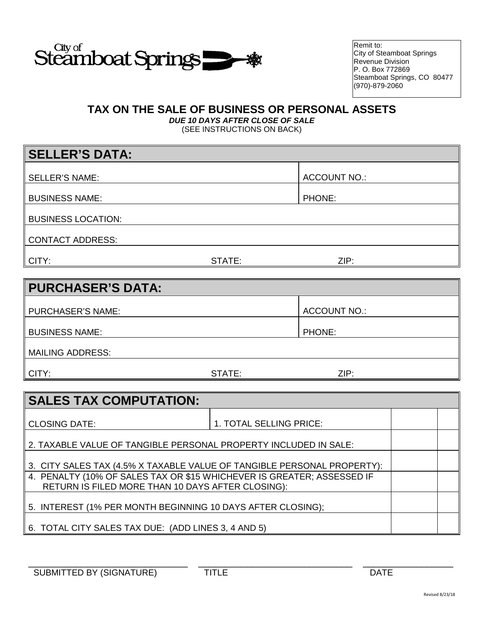

Remit to: City of Steamboat Springs Revenue Division P. O. Box 772869 Steamboat Springs, CO 80477 (970)-879-2060

## **TAX ON THE SALE OF BUSINESS OR PERSONAL ASSETS**

*DUE 10 DAYS AFTER CLOSE OF SALE* (SEE INSTRUCTIONS ON BACK)

| <b>SELLER'S DATA:</b>     |        |                     |
|---------------------------|--------|---------------------|
|                           |        |                     |
| <b>SELLER'S NAME:</b>     |        | <b>ACCOUNT NO.:</b> |
|                           |        |                     |
| <b>BUSINESS NAME:</b>     |        | PHONE:              |
|                           |        |                     |
| <b>BUSINESS LOCATION:</b> |        |                     |
|                           |        |                     |
| <b>CONTACT ADDRESS:</b>   |        |                     |
|                           |        |                     |
| CITY:                     | STATE: | ZIP:                |

| PURCHASER'S DATA:     |        |                     |
|-----------------------|--------|---------------------|
| PURCHASER'S NAME:     |        | <b>ACCOUNT NO.:</b> |
| <b>BUSINESS NAME:</b> |        | PHONE:              |
| MAILING ADDRESS:      |        |                     |
| ∥ CITY:               | STATE: | ZIP:                |

| <b>SALES TAX COMPUTATION:</b>                                           |                         |  |  |  |
|-------------------------------------------------------------------------|-------------------------|--|--|--|
|                                                                         |                         |  |  |  |
| <b>CLOSING DATE:</b>                                                    | 1. TOTAL SELLING PRICE: |  |  |  |
| 2. TAXABLE VALUE OF TANGIBLE PERSONAL PROPERTY INCLUDED IN SALE:        |                         |  |  |  |
| 3. CITY SALES TAX (4.5% X TAXABLE VALUE OF TANGIBLE PERSONAL PROPERTY): |                         |  |  |  |
| 4. PENALTY (10% OF SALES TAX OR \$15 WHICHEVER IS GREATER; ASSESSED IF  |                         |  |  |  |
| RETURN IS FILED MORE THAN 10 DAYS AFTER CLOSING):                       |                         |  |  |  |
| 5. INTEREST (1% PER MONTH BEGINNING 10 DAYS AFTER CLOSING);             |                         |  |  |  |
|                                                                         |                         |  |  |  |
| 6. TOTAL CITY SALES TAX DUE: (ADD LINES 3, 4 AND 5)                     |                         |  |  |  |

\_\_\_\_\_\_\_\_\_\_\_\_\_\_\_\_\_\_\_\_\_\_\_\_\_\_\_\_\_\_ \_\_\_\_\_\_\_\_\_\_\_\_\_\_\_\_\_\_\_\_\_\_\_\_\_\_\_\_\_ \_\_\_\_\_\_\_\_\_\_\_\_\_\_\_\_\_ SUBMITTED BY (SIGNATURE) TITLE THE DATE